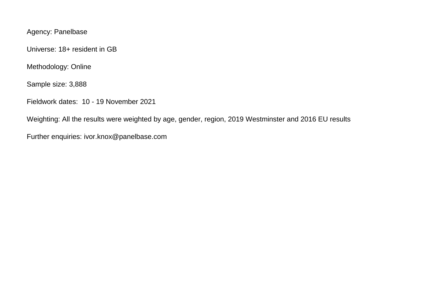Agency: Panelbase

Universe: 18+ resident in GB

Methodology: Online

Sample size: 3,888

Fieldwork dates: 10 - 19 November 2021

Weighting: All the results were weighted by age, gender, region, 2019 Westminster and 2016 EU results

Further enquiries: ivor.knox@panelbase.com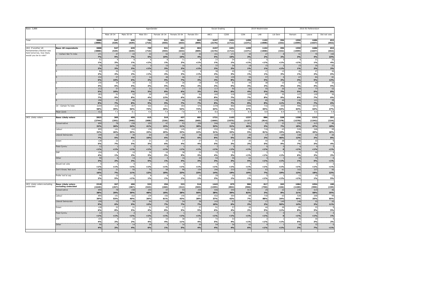| Base: 3,888<br>Total                                    |                                     |                |                       | Social Grading        |                | 2019 Westminster              |                              |                            | 2016 EU Referendum     |                                     |                        |                                     |                |                          |                         |                              |
|---------------------------------------------------------|-------------------------------------|----------------|-----------------------|-----------------------|----------------|-------------------------------|------------------------------|----------------------------|------------------------|-------------------------------------|------------------------|-------------------------------------|----------------|--------------------------|-------------------------|------------------------------|
|                                                         |                                     |                | Male 18-34            | Male 35-54            | Male 55+       | Female 18-34                  | Female 35-54<br>651<br>(633) | Female 55+<br>802<br>(809) | ABC1<br>2197<br>(2176) | C <sub>2</sub> DE<br>1691<br>(1712) | CON<br>1498<br>(1371)  | LAB<br>1102<br>(1008)               | Lib Dem        | Remain<br>1550<br>(1599) | Leave<br>1686<br>(1637) | Did not vote<br>652<br>(652) |
|                                                         |                                     | 3888<br>(3888) | 547<br>(529)          | 635<br>(639)          | 709<br>(710)   | 531<br>(555)                  |                              |                            |                        |                                     |                        |                                     | 396<br>(332)   |                          |                         |                              |
| UK2. If another UK                                      | <b>Base: All respondents</b>        | 3888           | 547                   | 635                   | 709            | 531                           | 651                          | 802                        | 2197                   | 1691                                | 1498                   | 1102                                | 396            | 1550                     | 1686                    | 652                          |
| Parliamentary Election was<br>held tomorrow, how likely | 1 - Certain Not To Vote             | (3888)<br>271  | (529)<br>47           | (639)<br>43           | (710)<br>33    | (555)<br>52                   | (633)<br>62                  | (809)<br>35                | (2176)<br>101          | (1712)<br>171                       | (1371)<br>39           | (1008)<br>27                        | (332)<br>8     | (1599)<br>51             | (1637)<br>70            | (652)<br>150                 |
| would you be to vote?                                   |                                     | 7%             | 9%                    | 7%                    | 5%             | 10%                           | 10%                          | 4%                         | 5%                     | 10%                                 | 3%                     | 2%                                  | 2%             | 3%                       | 4%                      | 23%                          |
|                                                         |                                     | 51<br>1%       | 2%                    | £.<br>$1\%$           | $< 1\%$        | 8<br>1%                       | 11<br>2%                     | 1%                         | 27<br>1%               | 24<br>1%                            | 12.<br>< 1%            | 6<br>< 1%                           | $1\%$          | < 1%                     | 21<br>1%                | 26<br>4%                     |
|                                                         |                                     | 70             | 14                    | 16                    | $\overline{z}$ | 15                            | 16                           |                            | 37                     | $\overline{34}$                     | 18                     | 15                                  | $\overline{z}$ | 23                       | 26                      | 21                           |
|                                                         |                                     | 2%             | 3%                    | 3%                    | $< 1\%$        | 3%                            | 2%                           | $1\%$                      | 2%                     | 2%                                  | 1%                     | 1%                                  | $< 1\%$        | 1%                       | 2%                      | 3%                           |
|                                                         |                                     | 84<br>2%       | 24<br>4%              | 10 <sup>1</sup><br>2% | -6<br>$< 1\%$  | 22<br>4%                      | 18<br>3%                     | 1%                         | 38<br>2%               | 45<br>3%                            | 22<br>1%               | 17<br>1%                            | 12<br>3%       | 20<br>1%                 | 27<br>2%                | 36<br>6%                     |
|                                                         |                                     | 232            | 57                    | 37                    | 14             | 48                            | 46                           | $\overline{27}$            | 92                     | 139                                 | 59                     | 57                                  | 6              | 67                       | 84                      | 81                           |
|                                                         |                                     | 6%<br>145      | 10%<br>34             | 6%<br>30 <sup>1</sup> | 2%<br>12       | 9%<br>25                      | 7%<br>26                     | 3%<br>18                   | 4%<br>64               | 8%<br>81                            | 4%<br>44               | 5%<br>38                            | 2%<br>10       | 4%<br>43                 | 5%<br>68                | 12%<br>34                    |
|                                                         |                                     | 4%             | 6%                    | 5%                    | 2%             | 5%                            | 4%                           | 2%                         | 3%                     | 5%                                  | 3%                     | 3%                                  | 3%             | 3%                       | 4%                      | 5%                           |
|                                                         |                                     | 212<br>5%      | 57<br>10%             | 33<br>5%              | 21<br>3%       | 42<br>8%                      | 37<br>6%                     | 23<br>3%                   | 117<br>5%              | 95<br>6%                            | 66<br>4%               | 55<br>5%                            | 26<br>7%       | 84<br>5%                 | 77<br>5%                | 52<br>8%                     |
|                                                         |                                     | 283            | 51                    | 52                    | 29             | 62                            | 39                           | 50                         | 165                    | 118                                 | 109                    | 85                                  | 35             | 127                      | 120                     | 36                           |
|                                                         |                                     | 7%             | 9%                    | 8%                    | 4%             | 12%                           | 6%                           | 6%                         | 8%                     | 7%                                  | 7%                     | 8%                                  | 9%             | 8%                       | 7%                      | 6%                           |
|                                                         |                                     | 296<br>8%      | 37 <sup>2</sup><br>7% | 49<br>8%              | 64<br>9%       | 46<br>9%                      | 44<br>7%                     | 55<br>7%                   | 178<br>8%              | 119<br>7%                           | 120<br>8%              | 85<br>8%                            | 44<br>11%      | 136<br>9%                | 121<br>$7\%$            | 39<br>6%                     |
|                                                         | 10 - Certain To Vote                | 2244           | 216                   | 357                   | 522            | 211                           | 354                          | 576                        | 1378                   | 866                                 | 1008                   | 716                                 | 250            | 996                      | 1072                    | 176                          |
|                                                         | Mean score                          | 58%<br>8.2     | 39%<br>7.3            | 56%<br>8.1            | 74%<br>9.0     | 40%<br>7.4                    | 54%<br>7.8                   | 72%<br>8.9                 | 63%<br>8.6             | 51%<br>7.7                          | 67%<br>8.9             | 65%<br>8.8                          | 63%<br>8.9     | 64%<br>8.8               | 64%<br>8.6              | 27%<br>5.8                   |
|                                                         |                                     |                |                       |                       |                |                               |                              |                            |                        |                                     |                        |                                     |                |                          |                         |                              |
| UK3. Likely voters                                      | <b>Base: Likely voters</b>          | 2823<br>(2744) | 305<br>(292)          | 459                   | 615            | 319<br>(326)                  | 437<br>(406)                 | 681<br>(665)               | 1721<br>(1669)         | 1102<br>(1075)                      | 1237                   | 886                                 | 328<br>(278)   | 1258<br>(1278)           | 1313                    | 251                          |
|                                                         | Conservative                        | 890            | 78                    | (440)<br>158          | (608)<br>255   | 47                            | 93                           | 258                        | 546                    | 344                                 | (1137)<br>813          | (814)<br>25:                        | 22             | 230                      | (1242)<br>615           | (224)<br>46                  |
|                                                         |                                     | 32%            | 26%                   | 34%                   | 41%            | 15%                           | 21%                          | 38%                        | 32%                    | 31%                                 | 66%                    | 3%                                  | $7\%$          | 18%                      | 47%                     | 18%                          |
|                                                         | Labour                              | 895<br>32%     | 141<br>46%            | 162<br>35%            | 139<br>23%     | 156<br>49%                    | 145<br>33%                   | 147<br>22%                 | 532<br>31%             | 364<br>33%                          | 68<br>5%               | 718<br>81%                          | 63<br>19%      | 528<br>42%               | 268<br>20%              | 99<br>40%                    |
|                                                         | Liberal Democrats                   | 199            | 15                    | 39                    | 64             | 19                            | 24                           | 38                         | 143                    | 57                                  | 20                     | 17                                  | 149            | 148                      | 32                      | 20                           |
|                                                         | Green                               | 7%<br>128      | 5%<br>22              | 8%<br>21              | 10%<br>21      | 6%<br>20                      | 5%<br>17                     | 6%<br>27                   | 8%<br>91               | 5%<br>37                            | 2%<br>20               | 2%<br>44                            | 46%<br>28      | 12%<br>85                | 2%<br>33                | 8%<br><b>g</b>               |
|                                                         |                                     | 5%             | 7%                    | 5%                    | 3%             | 6%                            | 4%                           | 4%                         | 5%                     | 3%                                  | 2%                     | 5%                                  | 9%             | 7%                       | 3%                      | 4%                           |
|                                                         | Plaid Cymru                         | 12             | $\overline{1}$        | $\overline{2}$        | $\overline{3}$ | $\overline{0}$                | $\overline{1}$               |                            | 7                      |                                     | $\mathbf{1}$           | 6                                   | $\overline{0}$ | 6                        | $\overline{4}$          | $\overline{z}$               |
|                                                         | SNP                                 | 1%<br>104      | $1\%$                 | $< 1\%$<br>10         | $1\%$<br>20    | $< 1\%$<br>10                 | $1\%$<br>38                  | $1\%$<br>22                | $< 1\%$<br>72          | $1\%$<br>33                         | < 1%<br>$\overline{1}$ | $< 1\%$<br>$\overline{\phantom{a}}$ | $\mathbf{o}$   | < 1%<br>$70^{\circ}$     | $1\%$<br>30             | $< 1\%$                      |
|                                                         |                                     | 4%             | 1%                    | 2%                    | 3%             | 3%                            | 9%                           | 3%                         | 4%                     | 3%                                  | $1\%$                  | $< 1\%$                             | $1\%$          | 6%                       | 2%                      | 2%                           |
|                                                         | Other                               | 90<br>3%       | 6<br>2%               | 14<br>3%              | 29<br>5%       | $\overline{\mathbf{3}}$<br>1% | 16<br>4%                     | 20<br>3%                   | 54<br>3%               | 36<br>3%                            | 62<br>5%               | $\overline{4}$<br>$1\%$             | $< 1\%$        | 18<br>1%                 | 72<br>5%                | $\mathbf 0$<br>$1\%$         |
|                                                         | Would not vote                      |                | $\overline{1}$        | $\Omega$              | $\overline{1}$ | $\overline{1}$                | $\Omega$                     |                            | 3                      |                                     | $\overline{z}$         | $\overline{1}$                      |                | $\overline{1}$           | $\overline{\mathbf{3}}$ | $\mathcal{L}$                |
|                                                         | Don't Know/ Not sure                | $1\%$<br>455   | $< 1\%$<br>21         | < 1%<br>50            | $< 1\%$<br>75  | < 1%<br>58                    | $1\%$<br>98                  | 1%<br>154                  | $< 1\%$<br>246         | 1%<br>210                           | $1\%$<br>234           | < 1%<br>63                          | 1%<br>61       | < 1%<br>162              | $< 1\%$<br>237          | $< 1\%$<br>56                |
|                                                         |                                     | 16%            | 7%                    | 11%                   | 12%            | 18%                           | 23%                          | 23%                        | 14%                    | 19%                                 | 19%                    | 7%                                  | 19%            | 13%                      | 18%                     | 22%                          |
|                                                         | Prefer not to say                   | 44             | 15                    |                       | 8              |                               |                              | 10                         | 29                     | 15                                  | 15                     | 5                                   |                | 12 <sub>1</sub>          | 19                      | 13                           |
|                                                         |                                     | 2%             | 5%                    | $< 1\%$               | 1%             | 1%                            | 1%                           | $1\%$                      | 2%                     | 1%                                  | $1\%$                  | $< 1\%$                             | $1\%$          | $1\%$                    | 1%                      | 5%                           |
| UK3. Likely voters excluding<br>undecided               | <b>Base: Likely voters</b>          | 2318           | 267                   | 406                   | 532            | 256                           | 333                          | 516                        | 1443                   | 875                                 | 986                    | 817                                 | 265            | 1084                     | 1054                    | 180                          |
|                                                         | excluding undecided<br>Conservative | (2249)<br>890  | (257)<br>78           | (387)<br>158          | (523)<br>255   | (260)<br>47                   | (312)<br>93                  | (503)<br>258               | (1395)<br>546          | (854)<br>344                        | (906)<br>813           | (750)<br>25                         | (226)<br>22    | (1100)<br>230            | (990)<br>615            | (159)<br>46                  |
|                                                         |                                     | 38%            | 29%                   | 39%                   | 48%            | 18%                           | 28%                          | 50%                        | 38%                    | 39%                                 | 82%                    | 3%                                  | 8%             | 21%                      | 58%                     | 25%                          |
|                                                         | Labour                              | 895<br>39%     | 141<br>53%            | 162<br>40%            | 139<br>26%     | 156<br>61%                    | 145<br>43%                   | 147<br>28%                 | 532<br>37%             | 364<br>42%                          | 68<br>7%               | 718<br>88%                          | 63<br>24%      | 528<br>49%               | 268<br>25%              | 99<br>55%                    |
|                                                         | Liberal Democrats                   | 199            | 15                    | 39                    | 64             | 19                            | 24                           | 38                         | 143                    | 57                                  | 20                     | 17                                  | 149            | 148                      | 32 <sup>2</sup>         | 20                           |
|                                                         |                                     | 9%             | 6%                    | 9%                    | 12%            | $7%$                          | 7%                           | 7%                         | 10%                    | 6%                                  | 2%                     | 2%                                  | 56%            | 14%                      | 3%                      | 11%                          |
|                                                         | Green                               | 128<br>6%      | 22<br>8%              | 21<br>5%              | 21<br>4%       | 20<br>8%                      | 17<br>5%                     | 27<br>5%                   | 91<br>6%               | 37<br>4%                            | 20<br>2%               | 44<br>5%                            | 28<br>11%      | 85<br>8%                 | 33<br>3%                | $\Omega$<br>5%               |
|                                                         | Plaid Cymru                         | 12             | $\overline{1}$        | $\overline{2}$        | $\overline{3}$ | $\mathbf 0$                   | $\overline{1}$               |                            | 7                      | $\overline{\phantom{a}}$            | $\mathbf{1}$           | 6                                   | $\overline{0}$ | 6                        | $\overline{4}$          | $\overline{z}$               |
|                                                         | SNP                                 | $1\%$<br>104   | $1\%$<br>$\Delta$     | $< 1\%$               | $< 1\%$        | $< 1\%$                       | $< 1\%$                      | $1\%$<br>22                | $< 1\%$                | $1\%$<br>33                         | $1\%$<br>$\mathbf{1}$  | $1\%$<br>$\overline{2}$             | $\Omega$       | $< 1\%$                  | $1\%$                   | 1%<br>$\Delta$               |
|                                                         |                                     | 4%             | 2%                    | 10<br>2%              | 20<br>4%       | 10<br>4%                      | 38<br>11%                    | 4%                         | 72<br>5%               | 4%                                  | $< 1\%$                | $< 1\%$                             | 1%             | 70<br>6%                 | 30<br>3%                | 2%                           |
|                                                         | Other                               | 90             | 6                     | 14                    | 29             | $\overline{\mathbf{3}}$       | 16                           | 20                         | 54                     | 36                                  | 62                     | $\overline{4}$                      |                | 18                       | 72                      | $\mathbf 0$                  |
|                                                         |                                     | 4%             | 2%                    | 4%                    | 6%             | 1%                            | 5%                           | 4%                         | 4%                     | 4%                                  | 6%                     | $< 1\%$                             | $< 1\%$        | 2%                       | 7%                      | $< 1\%$                      |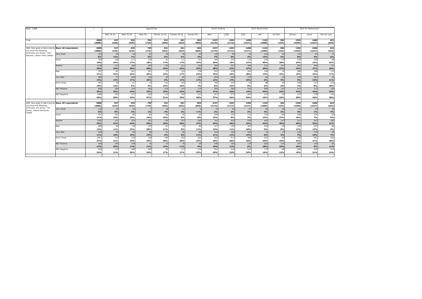| Base: 3,888                                                |                     |                |              | AgexGender   |                |              |                 |                | Social Grading |                   | 2019 Westminster |                |              | 2016 EU Referendum |                |              |
|------------------------------------------------------------|---------------------|----------------|--------------|--------------|----------------|--------------|-----------------|----------------|----------------|-------------------|------------------|----------------|--------------|--------------------|----------------|--------------|
|                                                            |                     |                | Male 18-34   | Male 35-54   | Male 55+       | Female 18-34 | Female 35-54    | Female 55+     | ABC1           | C <sub>2</sub> DE | CON              | LAB            | Lib Dem      | Remain             | Leave          | Did not vote |
| Total                                                      |                     | 3888<br>(3888) | 547<br>(529) | 635<br>(639) | 709<br>(710)   | 531<br>(555) | 651<br>(633)    | 802<br>(809)   | 2197<br>(2176) | 1691<br>(1712)    | 1498<br>(1371)   | 1102<br>(1008) | 396<br>(332) | 1550<br>(1599)     | 1686<br>(1637) | 652<br>(652) |
|                                                            |                     |                |              |              |                |              |                 |                |                |                   |                  |                |              |                    |                |              |
| UK8. How good or bad a job do Base: All respondents        |                     | 3888           | 547          | 635          | 709            | 531          | 651             | 802            | 2197           | 1691              | 1498             | 1102           | 396          | 1550               | 1686           | 652          |
| vou think the following                                    |                     | (3888)         | (529)        | (639)        | (710)          | (555)        | (633)           | (809)          | (2176)         | (1712)            | (1371)           | (1008)         | (332)        | (1599)             | (1637)         | (652)        |
| politicians are doing?Keir<br>Starmer, Labour Party Leader | Very Good           | 235            | 64           | 43           | 35             | 33           | 36              | 25             | 145            | 90                | 39               | 154            | 22           | 137                | 67             | 31           |
|                                                            |                     | 6%             | 12%          | 7%           | 5%             | 6%           | 6%              | 3%             | 7%             | 5%                | 3%               | 14%            | 6%           | 9%                 | 4%             | <b>5%</b>    |
|                                                            | Good                | 724            | 130          | 111          | 129            | 91           | 111             | 151            | 449            | 275               | 176              | 336            | 110          | 376                | 250            | 98           |
|                                                            |                     | 19%            | 24%          | 17%          | 18%            | 17%          | 17%             | 19%            | 20%            | 16%               | 12%              | 30%            | 28%          | 24%                | 15%            | 15%          |
|                                                            | Neither             | 1136           | 123          | 180          | 199            | 170          | 211             | 253            | 609            | 527               | 409              | 331            | 147          | 501                | 464            | 171          |
|                                                            |                     | 29%            | 23%          | 28%          | 28%            | 32%          | 32%             | 32%            | 28%            | 31%               | 27%              | 30%            | 37%          | 32%                | 27%            | 26%          |
|                                                            | Bad                 | 797            | 81           | 161          | 187            | 71           | 110             | 178            | 519            | 278               | 424              | 149            | 74           | 288                | 398            | 112          |
|                                                            |                     | 21%            | 15%          | 25%          | 26%            | 13%          | 17%             | 22%            | 24%            | 16%               | 28%              | 14%            | 19%          | 19%                | 24%            | 17%          |
|                                                            | Verv Bad            | 589            | 72           | 109          | 143            | 42           | 82              | 139            | 294            | 295               | 379              | 64             | 19           | 139                | 381            | 70           |
|                                                            |                     | 15%            | 13%          | 17%          | 20%            | 8%           | 13%             | 17%            | 13%            | 17%               | 25%              | 6%             | 5%           | 9%                 | 23%            | 11%          |
|                                                            | Don't Know          | 407            | 76           | 31           | 16             | 123          | 102             | 57             | 182            | 225               | 72               | 68             | 24           | 109                | 127            | 170          |
|                                                            |                     | 10%            | 14%          | 5%           | 2%             | 23%          | 16%             | 7%             | 8%             | 13%               | 5%               | 6%             | 6%           | 7%                 | 8%             | 26%          |
|                                                            | <b>NET Positive</b> | 959            | 194          | 153          | 164            | 124          | 147             | 175            | 593            | 366               | 214              | 490            | 132          | 513                | 317            | 129          |
|                                                            |                     | 25%            | 35%          | 24%          | 23%            | 23%          | 23%             | 22%            | 27%            | 22%               | 14%              | 44%            | 33%          | 33%                | 19%            | 20%          |
|                                                            | <b>NET Negative</b> | 1386           | 154          | 271          | 330            | 114          | 192             | 317            | 813            | 573               | 803              | 213            | 93           | 427                | 778            | 181          |
|                                                            |                     | 36%            | 28%          | 43%          | 47%            | 21%          | 29%             | 40%            | 37%            | 34%               | 54%              | 19%            | 23%          | 28%                | 46%            | 28%          |
|                                                            |                     |                |              |              |                |              |                 |                |                |                   |                  |                |              |                    |                |              |
| UK8. How good or bad a job do Base: All respondents        |                     | 3888           | 547          | 635          | 709            | 531          | 651             | 802            | 2197           | 1691              | 1498             | 1102           | 396          | 1550               | 1686           | 652          |
| vou think the following                                    |                     | (3888)         | (529)        | (639)        | (710)          | (555)        | (633)           | (809)          | (2176)         | (1712)            | (1371)           | (1008)         | (332)        | (1599)             | (1637)         | (652)        |
| politicians are doing?Ed<br>Davey, Liberal Democrat        | Very Good           | 110            | 43           | 24           | $\overline{7}$ | 18           | 11 <sup>1</sup> |                | 70             | 40                | 27               | 49             | 20           | 61                 | 25             | 24           |
| Leader                                                     |                     | 3%             | 8%           | 4%           | 1%             | 3%           | 2%              | < 1%           | 3%             | 2%                | 2%               | 4%             | 5%           | 4%                 | 1%             | 4%           |
|                                                            | Good                | 431            | 101          | 84           | 69             | 56           | 59              | 62             | 278            | 152               | 112              | 153            | 106          | 246                | 125            | 59           |
|                                                            |                     | 11%            | 19%          | 13%          | 10%            | 10%          | 9%              | 8%             | 13%            | 9%                | 7%               | 14%            | 27%          | 16%                | 7%             | 9%           |
|                                                            | Neither             | 1362           | 171          | 219          | 257            | 176          | 237             | 300            | 747            | 615               | 478              | 467            | 157          | 611                | 547            | 203          |
|                                                            |                     | 35%            | 31%          | 34%          | 36%            | 33%          | 36%             | 37%            | 34%            | 36%               | 32%              | 42%            | 40%          | 39%                | 32%            | 31%          |
|                                                            | Bad                 | 499            | 60           | 93           | 139            | 61           | 57              | 85             | 317            | 182               | 267              | 102            | 32           | 189                | 251            | 60           |
|                                                            |                     | 13%            | 11%          | 15%          | 20%            | 11%          | 9%              | 11%            | 14%            | 11%               | 18%              | 9%             | 8%           | 12%                | 15%            | 9%           |
|                                                            | Very Bad            | 425            | 55           | 95           | 99             | 31           | 56              | 8 <sup>c</sup> | 234            | 192               | 246              | 71             | 17           | 105                | 275            | 44           |
|                                                            |                     | 11%            | 10%          | 15%          | 14%            | 6%           | 9%              | 11%            | 11%            | 11%               | 16%              | 6%             | 4%           | 7%                 | 16%            | <b>7%</b>    |
|                                                            | Don't Know          | 1061           | 116          | 120          | 138            | 189          | 232             | 260            | 550            | 511               | 368              | 261            | 64           | 338                | 462            | 262          |
|                                                            |                     | 27%            | 21%          | 19%          | 19%            | 36%          | 36%             | 32%            | 25%            | 30%               | 25%              | 24%            | 16%          | 22%                | 27%            | 40%          |
|                                                            | <b>NET Positive</b> | 540            | 145          | 108          | 76             | 73           | 70              | 68             | 348            | 192               | 139              | 202            | 125          | 307                | 150            | 83           |
|                                                            |                     | 14%            | 26%          | 17%          | 11%            | 14%          | 11%             | 9%             | 16%            | 11%               | 9%               | 18%            | 32%          | 20%                | 9%             | 13%          |
|                                                            | <b>NET Negative</b> | 925            | 115          | 188          | 238            | 92           | 113             | 174            | 551            | 374               | 514              | 173            | 49           | 294                | 526            | 104          |
|                                                            |                     | 24%            | 21%          | 30%          | 34%            | 17%          | 17%             | 22%            | 25%            | 22%               | 34%              | 16%            | 12%          | 19%                | 31%            | 16%          |
|                                                            |                     |                |              |              |                |              |                 |                |                |                   |                  |                |              |                    |                |              |
|                                                            |                     |                |              |              |                |              |                 |                |                |                   |                  |                |              |                    |                |              |